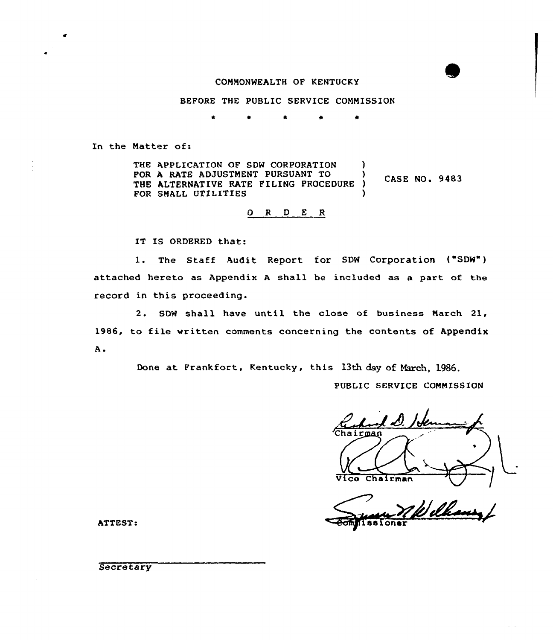## CONNONWEALTH OF KENTUCKY

BEFORE THE PUBLIC SERVICE CONMISSION

In the Natter of:

THE APPLICATION OF SDW CORPORATION FOR A RATE ADJUSTMENT PURSUANT TO (2) **CASE NO. 9483** THE ALTERNATIVE RATE FILING PROCEDURE FOR SMALL UTILITIES

# $O$   $R$   $D$   $E$   $R$

IT IS ORDERED that:

1. The Staff Audit Report for SDW Corporation ("SDW") attached hereto as Appendix <sup>A</sup> shall be included as a part of the record in this proceeding.

2. SDW shall have until the close of business Narch 21, 1986, to file vritten comments concerning the contents of Appendix A.

Done at Frankfort, Kentucky, this 13th day of March, 1986.

PUBLIC SERVICE CONNISSION

L D. 'c irman

Vico Chairman ATTEST:

**Secretary**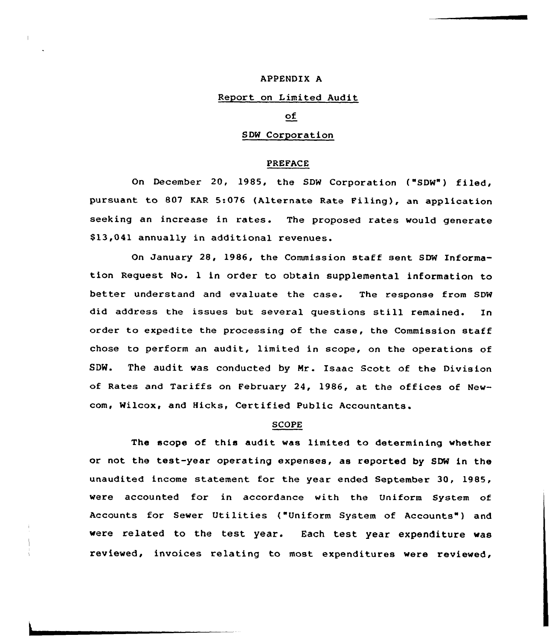## APPENDIX A

### Report on Limited Audit

## оf

# SDW Corporation

# PREFACE

On December 20, 1985, the SDW Corporation ("SDW") filed, pursuant to 807 KAR 5:076 (Alternate Rate Filing), an application seeking an increase in rates. The proposed rates would generate \$13,041 annually in additional revenues.

On January 28, 1986, the Commission staff sent SDW Information Request No. <sup>1</sup> in order to obtain supplemental information to better understand and evaluate the case. The response from SDW did address the issues but several questions still remained. In order to expedite the processing of the case, the Commission staff chose to perform an audit, limited in scope, on the operations of SDW. The audit was conducted by Nr. Isaac Scott of the Division of Rates and Tariffs on February 24, 1986, at the offices of Newcom, Wilcox, and Hicks, Certified Public Accountants.

#### SCOPE

The scope of this audit was limited to determining whether or not the test-year operating expenses, as reported by SDW in the unaudited income statement for the year ended September 30, 1985, were accounted for in accordance with the Uniform System of Accounts for Sewer Utilities ("Uniform System of Accounts") and were related to the test year. Each test year expenditure was reviewed, invoices relating to most expenditures were reviewed,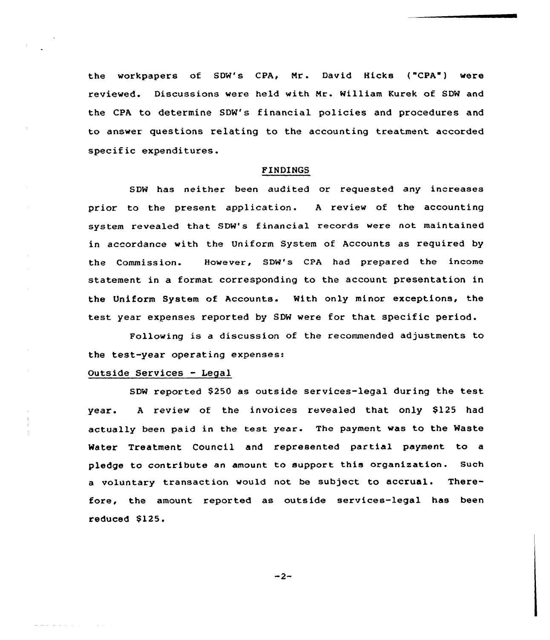the workpapers of SDW's CPA, Mr. David Hicks ("CPA") were reviewed. Discussions were held with Mr. William Kurek of SDW and the CPA to determine SDW's financial policies and procedures and to answer questions relating to the accounting treatment accorded specific expenditures.

## FINDINGS

SDW has neither been audited or requested any increases prior to the present application. <sup>A</sup> review of the accounting system revealed that SDW's financial records were not maintained in accordance with the Uniform System of Accounts as required by the Commission. However, SDW's CPA had prepared the income statement in a format corresponding to the account presentation in the Uniform System of Accounts. With only minor exceptions, the test year expenses reported by SDW were for that specific period.

Following is a discussion of the recommended adjustments to the test-year operating expenses:

# outside Services - Legal

SDW reported \$250 as outside services-legal during the test year. <sup>A</sup> review of the invoices revealed that only \$125 had actually been paid in the test year. The payment was to the Waste Water Treatment Council and represented partial payment to a pledge to contribute an amount to support this organization. Such a voluntary transaction would not be subject to accrual. Therefore, the amount reported as outside services-legal has been reduced \$125.

 $-2-$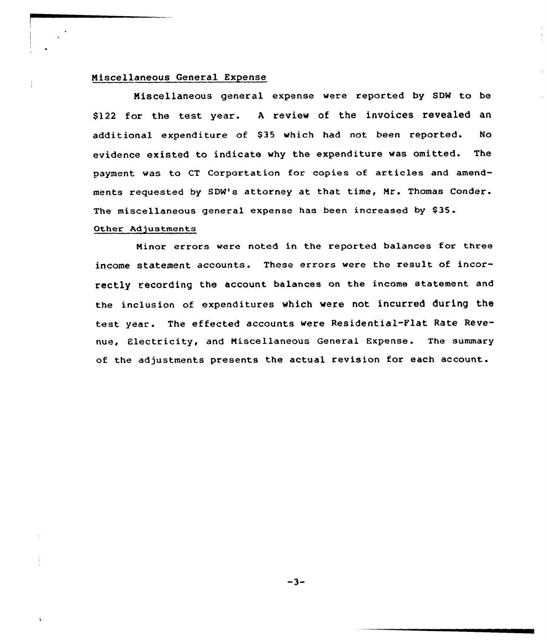# Niscellaneous General Expense

Niscellaneous general expense were reported by SDW to be \$122 for the test year. A review of the invoices revealed an additional expenditure of \$35 which had not been reported. No evidence existed to indicate why the expenditure was omitted. The payment was to CT Corportation for copies of articles and amendments requested by SDW's attorney at that time, Mr. Thomas Conder. The miscellaneous general expense has been increased by \$35.

#### Other Adjustments

 $\mathbf{f}$ 

Ninor errors were noted in the reported balances for three income statement accounts. These errors were the result of incorrectly recording the account balances on the income statement and the inclusion of expenditures which were not incurred during the test year. The effected accounts were Residential-Flat Rate Revenue, Electricity, and Niscellaneous General Expense. The summary of the adjustments presents the actual revision for each account.

 $-3-$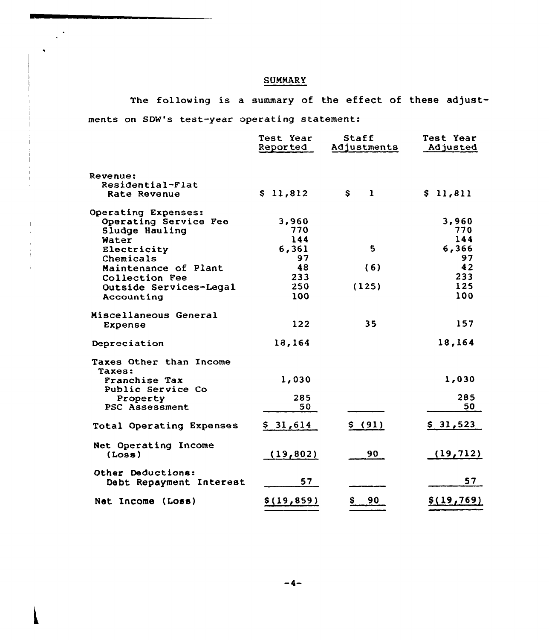# **SUMMARY**

 $\mathbb{R}^{\frac{1}{2}}$ 

The following is a summary of the effect of these adjustments on SDW's test-year operating statement:

|                                           | Test Year<br>Reported | Staff<br>Adjustments | Test Year<br>Adjusted |
|-------------------------------------------|-----------------------|----------------------|-----------------------|
| Revenue:                                  |                       |                      |                       |
| Residential-Flat<br>Rate Revenue          | \$11,812              | \$<br>$\mathbf{1}$   | \$11,811              |
| Operating Expenses:                       |                       |                      |                       |
| Operating Service Fee                     | 3,960                 |                      | 3,960                 |
| Sludge Hauling                            | 770                   |                      | 770                   |
| Water                                     | 144                   |                      | 144                   |
| Electricity                               | 6,361                 | 5                    | 6,366                 |
| Chemicals                                 | 97                    |                      | 97                    |
| Maintenance of Plant                      | 48                    | (6)                  | 42                    |
| Collection Fee                            | 233                   |                      | 233                   |
| Outside Services-Legal                    | 250                   | (125)                | 125                   |
| Accounting                                | 100                   |                      | 100                   |
| Miscellaneous General                     |                       |                      |                       |
| Expense                                   | 122                   | 35                   | 157                   |
| Depreciation                              | 18,164                |                      | 18,164                |
| Taxes Other than Income                   |                       |                      |                       |
| Taxes:                                    | 1,030                 |                      | 1,030                 |
| <b>Franchise Tax</b><br>Public Service Co |                       |                      |                       |
| Property                                  | 285                   |                      | 285                   |
| <b>PSC Assessment</b>                     | 50                    |                      | 50                    |
| Total Operating Expenses                  | \$31,614              | \$ (91)              | \$31,523              |
| Net Operating Income<br>(Loss)            | (19, 802)             | 90                   | (19, 712)             |
|                                           |                       |                      |                       |
| Other Deductions:                         |                       |                      |                       |
| Debt Repayment Interest                   | 57                    |                      | 57                    |
| Net Income (Loss)                         | \$(19, 859)           | \$<br>90             | \$(19, 769)           |